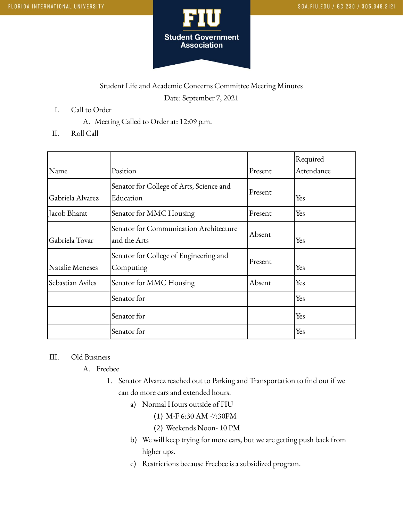

## Student Life and Academic Concerns Committee Meeting Minutes Date: September 7, 2021

- I. Call to Order
	- A. Meeting Called to Order at: 12:09 p.m.
- II. Roll Call

|                  |                                                        |         | Required   |
|------------------|--------------------------------------------------------|---------|------------|
| Name             | Position                                               | Present | Attendance |
| Gabriela Alvarez | Senator for College of Arts, Science and<br>Education  | Present | Yes        |
| Jacob Bharat     | Senator for MMC Housing                                | Present | Yes        |
| Gabriela Tovar   | Senator for Communication Architecture<br>and the Arts | Absent  | Yes        |
| Natalie Meneses  | Senator for College of Engineering and<br>Computing    | Present | Yes        |
| Sebastian Aviles | Senator for MMC Housing                                | Absent  | Yes        |
|                  | Senator for                                            |         | Yes        |
|                  | Senator for                                            |         | Yes        |
|                  | Senator for                                            |         | Yes        |

## III. Old Business

- A. Freebee
	- 1. Senator Alvarez reached out to Parking and Transportation to find out if we can do more cars and extended hours.
		- a) Normal Hours outside of FIU
			- (1) M-F 6:30 AM -7:30PM
			- (2) Weekends Noon- 10 PM
		- b) We will keep trying for more cars, but we are getting push back from higher ups.
		- c) Restrictions because Freebee is a subsidized program.